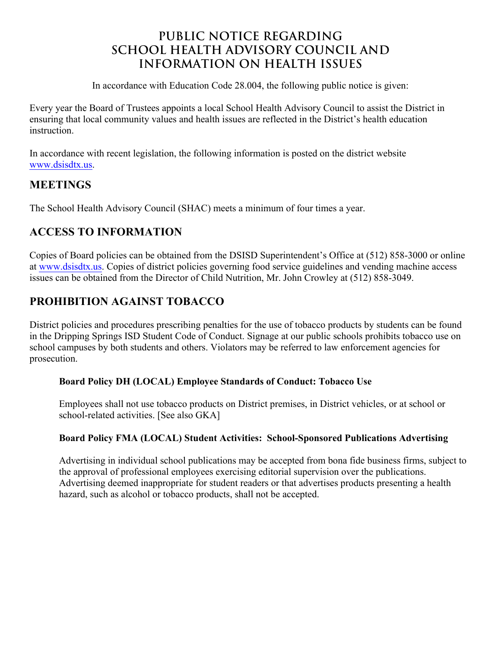# **PUBLIC NOTICE REGARDING SCHOOL HEALTH ADVISORY COUNCIL AND INFORMATION ON HEALTH ISSUES**

In accordance with Education Code 28.004, the following public notice is given:

Every year the Board of Trustees appoints a local School Health Advisory Council to assist the District in ensuring that local community values and health issues are reflected in the District's health education **instruction** 

In accordance with recent legislation, the following information is posted on the district website [www.dsisd](http://www.dsisdtx.us)tx.us.

## **MEETINGS**

The School Health Advisory Council (SHAC) meets a minimum of four times a year.

## **ACCESS TO INFORMATION**

Copies of Board policies can be obtained from the DSISD Superintendent's Office at (512) 858-3000 or online at [www.dsisdtx](http://www.dsisdtx.us).us. Copies of district policies governing food service guidelines and vending machine access issues can be obtained from the Director of Child Nutrition, Mr. John Crowley at (512) 858-3049.

## **PROHIBITION AGAINST TOBACCO**

District policies and procedures prescribing penalties for the use of tobacco products by students can be found in the Dripping Springs ISD Student Code of Conduct. Signage at our public schools prohibits tobacco use on school campuses by both students and others. Violators may be referred to law enforcement agencies for prosecution.

#### **Board Policy DH (LOCAL) Employee Standards of Conduct: Tobacco Use**

Employees shall not use tobacco products on District premises, in District vehicles, or at school or school-related activities. [See also GKA]

#### **Board Policy FMA (LOCAL) Student Activities: School-Sponsored Publications Advertising**

Advertising in individual school publications may be accepted from bona fide business firms, subject to the approval of professional employees exercising editorial supervision over the publications. Advertising deemed inappropriate for student readers or that advertises products presenting a health hazard, such as alcohol or tobacco products, shall not be accepted.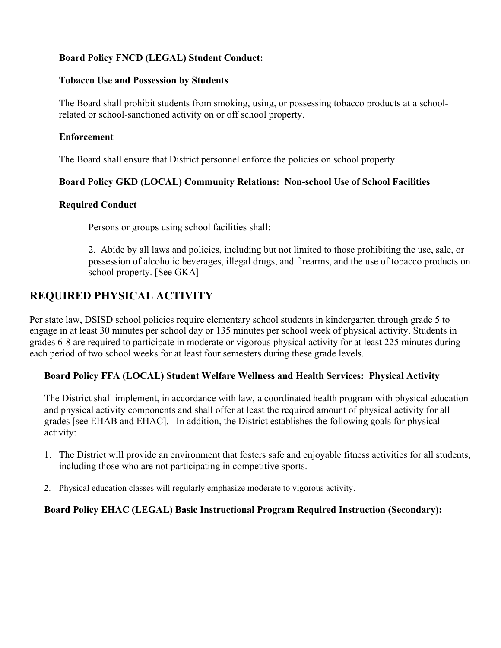### **Board Policy FNCD (LEGAL) Student Conduct:**

#### **Tobacco Use and Possession by Students**

The Board shall prohibit students from smoking, using, or possessing tobacco products at a schoolrelated or school-sanctioned activity on or off school property.

#### **Enforcement**

The Board shall ensure that District personnel enforce the policies on school property.

#### **Board Policy GKD (LOCAL) Community Relations: Non-school Use of School Facilities**

#### **Required Conduct**

Persons or groups using school facilities shall:

2. Abide by all laws and policies, including but not limited to those prohibiting the use, sale, or possession of alcoholic beverages, illegal drugs, and firearms, and the use of tobacco products on school property. [See GKA]

## **REQUIRED PHYSICAL ACTIVITY**

Per state law, DSISD school policies require elementary school students in kindergarten through grade 5 to engage in at least 30 minutes per school day or 135 minutes per school week of physical activity. Students in grades 6-8 are required to participate in moderate or vigorous physical activity for at least 225 minutes during each period of two school weeks for at least four semesters during these grade levels.

#### **Board Policy FFA (LOCAL) Student Welfare Wellness and Health Services: Physical Activity**

The District shall implement, in accordance with law, a coordinated health program with physical education and physical activity components and shall offer at least the required amount of physical activity for all grades [see EHAB and EHAC]. In addition, the District establishes the following goals for physical activity:

- 1. The District will provide an environment that fosters safe and enjoyable fitness activities for all students, including those who are not participating in competitive sports.
- 2. Physical education classes will regularly emphasize moderate to vigorous activity.

#### **Board Policy EHAC (LEGAL) Basic Instructional Program Required Instruction (Secondary):**